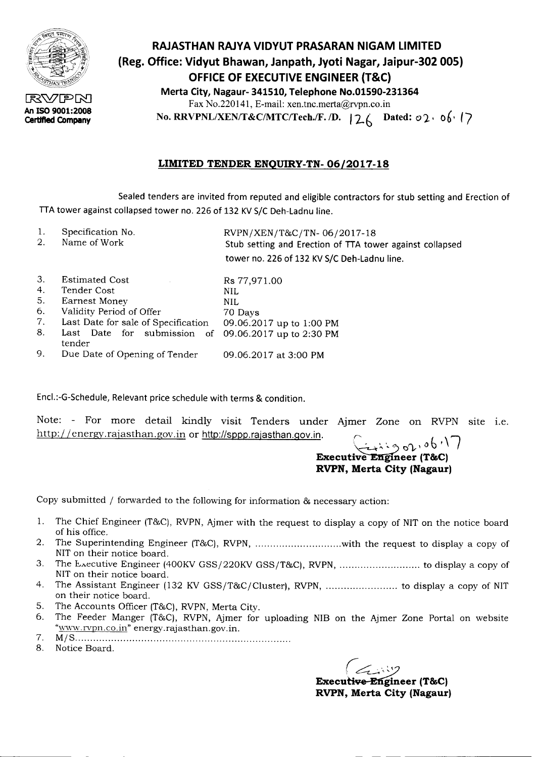

An ISO 9001:2008 Certified Company

## RAJASTHAN RAJYA VIDYUT PRASARAN NIGAM LIMITED (Reg. Office: Vidyut Bhawan, Janpath, Jyoti Nagar, Jaipur-302 005) OFFICE OF EXECUTIVE ENGINEER (T&C)

Merta City, Nagaur- 341510, Telephone No.01590-231364 Fax No.220141, E-mail: xen.tnc.merta@rvpn.co.in No. RRVPNL/XEN/T&C/MTC/Tech./F. /D. |26 Dated: *o*2 · 06 · (7)

#### LIMITED TENDER ENQUIRY-TN- 06/2017-18

Sealed tenders are invited from reputed and eligible contractors for stub setting and Erection of TTA tower against collapsed tower no. 226 of 132 KV S/C Deh-Ladnu line.

1. 2. Specification No. Name of Work *RVPN/XEN/T&C/TN- 06/2017-18* Stub setting and Erection of ITA tower against collapsed tower no. 226 of 132 KV S/C Deh-Ladnu line.

| 3. | <b>Estimated Cost</b>                                          | Rs 77,971.00             |
|----|----------------------------------------------------------------|--------------------------|
| 4. | Tender Cost                                                    | NIL                      |
| 5. | Earnest Money                                                  | NIL.                     |
| 6. | Validity Period of Offer                                       | 70 Days                  |
| 7. | Last Date for sale of Specification                            | 09.06.2017 up to 1:00 PM |
| 8. | Last Date for submission of 09.06.2017 up to 2:30 PM<br>tender |                          |
| 9. | Due Date of Opening of Tender                                  | 09.06.2017 at 3:00 PM    |

Encl.:-G-Schedule, Relevant price schedule with terms & condition.

Note: - For more detail kindly visit Tenders under Ajmer Zone on RVPN site i.e.<br>http://energy.rajasthan.gov.in or http://sppp.rajasthan.gov.in.

# $\mathbb{E}_{\mathbf{x}} \left( \begin{array}{cc} \mathbb{E}_{\mathbf{x}} & \mathbb{E}_{\mathbf{x}} & \mathbb{E}_{\mathbf{x}} \\ \mathbb{E}_{\mathbf{x}} & \mathbb{E}_{\mathbf{x}} & \mathbb{E}_{\mathbf{x}} \\ \mathbb{E}_{\mathbf{x}} & \mathbb{E}_{\mathbf{x}} & \mathbb{E}_{\mathbf{x}} \end{array} \right)$  (T&C) RVPN, Merta City (Nagaur)

Copy submitted *I* forwarded to the following for information & necessary action:

- 1. The Chief Engineer (T&C), RVPN, Ajmer with the request to display a copy of NIT on the notice board of his office.
- 2. The Superintending Engineer (T&C), RVPN, ................................with the request to display a copy of NIT on their notice board.
- 3. The Execu tive Engineer (400KV GSS/220KV GSS/T&C), RVPN, to display a copy of NIT on their notice board.
- 4. The Assistant Engineer (132 KV GSS/T&C/Cluster), RVPN, .......................... to display a copy of NIT on their notice board.
- 5. The Accounts Officer (T&C), RVPN, Merta City.
- 6. The Feeder Manger (T&C), RVPN, Ajmer for uploading NIB on the Ajmer Zone Portal on website "www.rvpn.co.in" energy.rajasthan.gov.in.
- *7. M/S .*
- 8. Notice Board.

 $\left($   $\left\langle \right\rangle \right)$ 

-------- - - ---------------------

Executi<del>ve-Eng</del>ineer (T&C) RVPN, Merta City (Nagaur)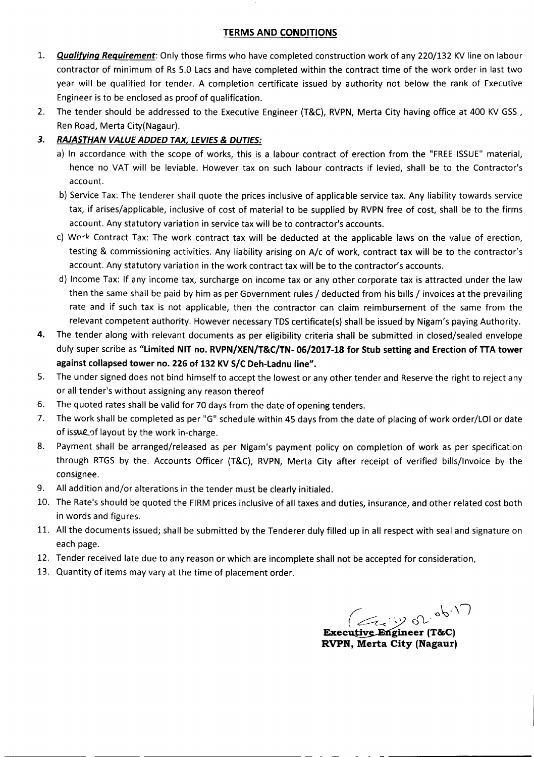#### TERMS AND CONDITIONS

- 1. **Qualifying Requirement**: Only those firms who have completed construction work of any 220/132 KV line on labour contractor of minimum of Rs 5.0 Lacs and have completed within the contract time of the work order in last two year will be qualified for tender. A completion certificate issued by authority not below the rank of Executive Engineer is to be enclosed as proof of qualification.
- 2. The tender should be addressed to the Executive Engineer (T&C), RVPN, Merta City having office at 400 KV GSS, Ren Road, Merta City(Nagaur).

#### *3. RAJASTHAN VALUE ADDED TAX, LEVIES*& *DUTIES:*

- a) In accordance with the scope of works, this is a labour contract of erection from the "FREE ISSUE" material, hence no VAT will be leviable. However tax on such labour contracts if levied, shall be to the Contractor's account.
- b) Service Tax: The tenderer shall quote the prices inclusive of applicable service tax. Any liability towards service tax, if arises/applicable, inclusive of cost of material to be supplied by RVPN free of cost, shall be to the firms account. Any statutory variation in service tax will be to contractor's accounts.
- c) Work Contract Tax: The work contract tax will be deducted at the applicable laws on the value of erection, testing & commissioning activities. Any liability arising on A/c of work, contract tax will be to the contractor's account. Any statutory variation in the work contract tax will be to the contractor's accounts.
- d) Income Tax: If any income tax, surcharge on income tax or any other corporate tax is attracted under the law then the same shall be paid by him as per Government rules / deducted from his bills / invoices at the prevailing rate and if such tax is not applicable, then the contractor can claim reimbursement of the same from the relevant competent authority. However necessary TDS certificate(s) shall be issued by Nigam's paying Authority.
- 4. The tender along with relevant documents as per eligibility criteria shall be submitted in closed/sealed envelope duly super scribe as "limited NIT no. RVPN/XEN/T&C/TN- 06/2017-18 for Stub setting and Erection of TTA tower against collapsed tower no. 226 of 132 KV S/C Deh-Ladnu line".
- 5. The under signed does not bind himself to accept the lowest or any other tender and Reserve the right to reject any or all tender's without assigning any reason thereof
- 6. The quoted rates shall be valid for 70 days from the date of opening tenders.
- 7. The work shall be completed as per "G" schedule within 45 days from the date of placing of work order/LOI or date of issue of layout by the work in-charge.
- 8. Payment shall be arranged/released as per Nigam's payment policy on completion of work as per specification through RTGS by the. Accounts Officer (T&C), RVPN, Merta City after receipt of verified bills/Invoice by the consignee.
- 9. All addition and/or alterations in the tender must be clearly initialed.
- 10. The Rate's should be quoted the FIRM prices inclusive of all taxes and duties, insurance, and other related cost both in words and figures.
- 11. All the documents issued; shall be submitted by the Tenderer duly filled up in all respect with sealand signature on each page.

---- -------------- - - - - - - -------------

- 12. Tender received late due to any reasonor which are incomplete shall not be accepted for consideration,
- 13. Quantity of items may vary at the time of placement order.

r: 0.000 m  $($   $\epsilon$   $\alpha$  iy or Executive Engineer (T&C) RVPN, Merta City (Nagaur)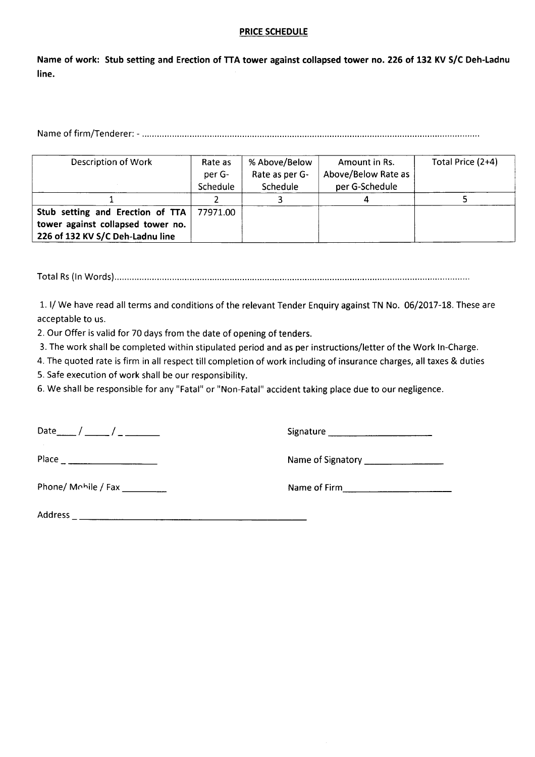#### **PRICE SCHEDULE**

Name of work: Stub setting and Erection of TTA tower against collapsed tower no. 226 of 132 KV S/C Deh-Ladnu **line.**

Name of firm/Tenderer: - .

| Description of Work                                                                                       | Rate as<br>per G-<br>Schedule | % Above/Below<br>Rate as per G-<br>Schedule | Amount in Rs.<br>Above/Below Rate as<br>per G-Schedule | Total Price (2+4) |  |  |
|-----------------------------------------------------------------------------------------------------------|-------------------------------|---------------------------------------------|--------------------------------------------------------|-------------------|--|--|
|                                                                                                           |                               |                                             |                                                        |                   |  |  |
| Stub setting and Erection of TTA<br>tower against collapsed tower no.<br>226 of 132 KV S/C Deh-Ladnu line | 77971.00                      |                                             |                                                        |                   |  |  |

Total Rs(In Words) .

1. I/We have read all terms and conditions of the relevant Tender Enquiry against TN No. 06/2017-18. These are acceptable to us.

2. Our Offer is valid for 70 days from the date of opening of tenders.

3. The work shall be completed within stipulated period and as per instructions/letter of the Work In-Charge.

4. The quoted rate is firm in all respect till completion of work including of insurance charges, all taxes & duties

5. Safe execution of work shall be our responsibility.

6. We shall be responsible for any "Fatal" or "Non-Fatal" accident taking place due to our negligence.

 $Date_{\text{max}} / \frac{1}{1 - \frac{1}{1 - \frac{1}{1 - \frac{1}{1 - \frac{1}{1 - \frac{1}{1 - \frac{1}{1 - \frac{1}{1 - \frac{1}{1 - \frac{1}{1 - \frac{1}{1 - \frac{1}{1 - \frac{1}{1 - \frac{1}{1 - \frac{1}{1 - \frac{1}{1 - \frac{1}{1 - \frac{1}{1 - \frac{1}{1 - \frac{1}{1 - \frac{1}{1 - \frac{1}{1 - \frac{1}{1 - \frac{1}{1 - \frac{1}{1 - \frac{1}{1 - \frac{1}{1 - \frac{1}{1 - \frac{1}{1 - \frac{1}{1 - \frac$ 

Place Nameof Signatory \_

Phone/ M(lhile / Fax \_ Nameof Firm \_

Address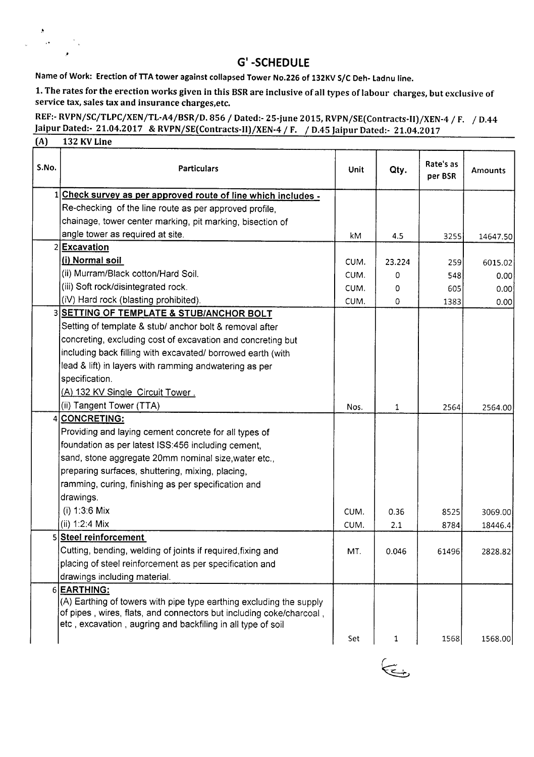### **G' -SCHEDULE**

Name of Work: Erection of TTA tower against collapsed Tower No.226 of 132KV S/C Deh- Ladnu line.

"

 $\mathcal{L}^{\mathcal{L}}$ 

1. The rates for the erection works given in this BSRare inclusive of all types oflabour charges, but exclusive of service tax, sales tax and insurance charges,etc.

REF:-RVPN/SC/TLPC/XEN/TL-A4/BSR/D. 856 / Dated:- 25-june 2015, RVPN/SE(Contracts-II)/XEN-4 / F. / D.44 )aipur Dated:- 21.04.2017 & RVPN/SE(Contracts-II)/XEN-4 / F. / D.45 )aipur Dated:- 21.04.2017 (A) 132 KVLine

| S.No. | <b>Particulars</b>                                                  | Unit | Qty.   | Rate's as<br>per BSR | Amounts  |
|-------|---------------------------------------------------------------------|------|--------|----------------------|----------|
|       | Check survey as per approved route of line which includes -         |      |        |                      |          |
|       | Re-checking of the line route as per approved profile,              |      |        |                      |          |
|       | chainage, tower center marking, pit marking, bisection of           |      |        |                      |          |
|       | angle tower as required at site.                                    | kM   | 4.5    | 3255                 | 14647.50 |
| 2     | <b>Excavation</b>                                                   |      |        |                      |          |
|       | (i) Normal soil                                                     | CUM. | 23.224 | 259                  | 6015.02  |
|       | (ii) Murram/Black cotton/Hard Soil.                                 | CUM. | 0      | 548                  | 0.00     |
|       | (iii) Soft rock/disintegrated rock.                                 | CUM. | 0      | 605                  | 0.00     |
|       | (iV) Hard rock (blasting prohibited).                               | CUM. | 0      | 1383                 | 0.00     |
|       | 3 SETTING OF TEMPLATE & STUB/ANCHOR BOLT                            |      |        |                      |          |
|       | Setting of template & stub/ anchor bolt & removal after             |      |        |                      |          |
|       | concreting, excluding cost of excavation and concreting but         |      |        |                      |          |
|       | including back filling with excavated/ borrowed earth (with         |      |        |                      |          |
|       | lead & lift) in layers with ramming andwatering as per              |      |        |                      |          |
|       | specification.                                                      |      |        |                      |          |
|       | (A) 132 KV Single Circuit Tower.                                    |      |        |                      |          |
|       | (ii) Tangent Tower (TTA)                                            | Nos. | 1      | 2564                 | 2564.00  |
| 4     | <b>CONCRETING:</b>                                                  |      |        |                      |          |
|       | Providing and laying cement concrete for all types of               |      |        |                      |          |
|       | foundation as per latest ISS:456 including cement,                  |      |        |                      |          |
|       | sand, stone aggregate 20mm nominal size, water etc.,                |      |        |                      |          |
|       | preparing surfaces, shuttering, mixing, placing,                    |      |        |                      |          |
|       | ramming, curing, finishing as per specification and                 |      |        |                      |          |
|       | drawings.                                                           |      |        |                      |          |
|       | $(i) 1:3:6$ Mix                                                     | CUM. | 0.36   | 8525                 | 3069.00  |
|       | (ii) $1:2:4$ Mix                                                    | CUM. | 2.1    | 8784                 | 18446.4  |
| 51    | <b>Steel reinforcement</b>                                          |      |        |                      |          |
|       | Cutting, bending, welding of joints if required, fixing and         | MT.  | 0.046  | 61496                | 2828.82  |
|       | placing of steel reinforcement as per specification and             |      |        |                      |          |
|       | drawings including material.                                        |      |        |                      |          |
|       | 6 EARTHING:                                                         |      |        |                      |          |
|       | (A) Earthing of towers with pipe type earthing excluding the supply |      |        |                      |          |
|       | of pipes, wires, flats, and connectors but including coke/charcoal, |      |        |                      |          |
|       | etc, excavation, augring and backfiling in all type of soil         |      |        |                      |          |
|       |                                                                     | Set  | 1      | 1568                 | 1568.00  |